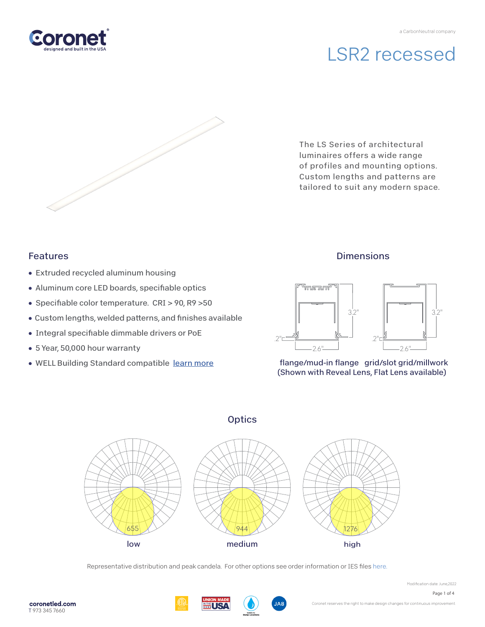# LSR2 recessed

The LS Series of architectural luminaires offers a wide range of profiles and mounting options. Custom lengths and patterns are tailored to suit any modern space.

### Features

- Extruded recycled aluminum housing
- Aluminum core LED boards, specifiable optics
- Specifiable color temperature. CRI > 90, R9 > 50
- Custom lengths, welded patterns, and finishes available
- Integral specifiable dimmable drivers or PoE
- 5 Year, 50,000 hour warranty
- WELL Building Standard compatibl[e learn more](https://coronetled.com/well-v2-standard/)

### **Dimensions**



flange/mud-in flange grid/slot grid/millwork (Shown with Reveal Lens, Flat Lens available)

### **Optics**



Representative distribution and peak candela. For other options see order information or IES files [here.](https://coronetled.com/downloads/)





Modification date: June,2022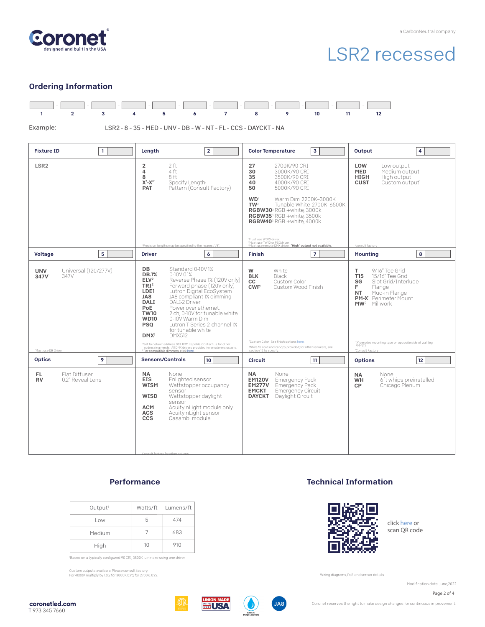

# LSR2 recessed

#### Ordering Information



#### **Performance**

| Output <sup>1</sup> |    | Watts/ft Lumens/ft |
|---------------------|----|--------------------|
| Low                 | 5  | 474                |
| Medium              |    | 683                |
| High                | 10 | 910                |

'Based on a typically configured 90 CRI, 3500K luminaire using one driver.

Custom outputs available. Please consult factory. For 4000K multiply by 1.05; for 3000K 0.96; for 2700K, 0.92.

#### Technical Information



click [here or](https://coronetled.com/warranty-technical-info/) scan QR code

Wiring diagrams, PoE and sensor details

Modification date: June,2022

Page 2 of 4







Coronet reserves the right to make design changes for continuous improvement.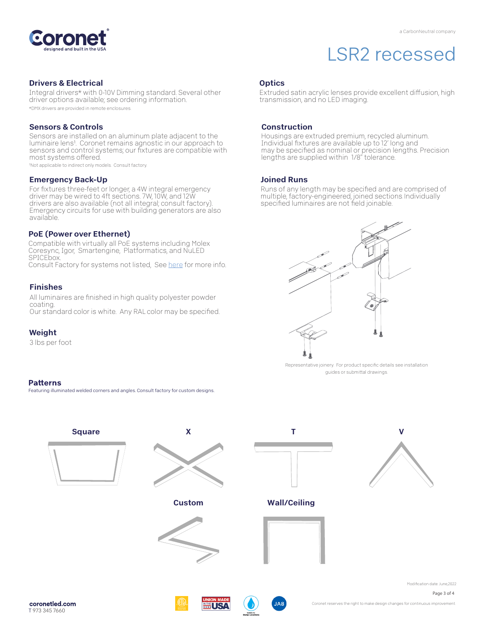

## LSR2 recessed

#### Drivers & Electrical

Integral drivers\* with 0-10V Dimming standard. Several other driver options available; see ordering information. \*DMX drivers are provided in remote enclosures.

#### Sensors & Controls

Sensors are installed on an aluminum plate adjacent to the luminaire lens1. Coronet remains agnostic in our approach to sensors and control systems; our fixtures are compatible with most systems offered.

1Not applicable to indirect only models. Consult factory.

#### Emergency Back-Up

For fixtures three-feet or longer, a 4W integral emergency driver may be wired to 4ft sections. 7W, 10W, and 12W drivers are also available (not all integral; consult factory). Emergency circuits for use with building generators are also available.

#### PoE (Power over Ethernet)

Compatible with virtually all PoE systems including Molex Coresync, Igor, Smartengine, Platformatics, and NuLED SPICEbox. Consult Factory for systems not listed, See [here fo](https://coronetled.com/warranty-technical-info/)r more info.

#### Finishes

All luminaires are finished in high quality polyester powder coating.

Our standard color is white. Any RAL color may be specified.

#### Weight

3 lbs per foot

#### **Patterns**

Featuring illuminated welded corners and angles. Consult factory for custom designs.



Extruded satin acrylic lenses provide excellent diffusion, high transmission, and no LED imaging.

#### Construction

Housings are extruded premium, recycled aluminum. Individual fixtures are available up to 12' long and may be specified as nominal or precision lengths. Precision lengths are supplied within 1/8" tolerance.

#### Joined Runs

Runs of any length may be specified and are comprised of multiple, factory-engineered, joined sections. Individually specified luminaires are not field joinable.



Representative joinery. For product specific details see installation guides or submittal drawings.